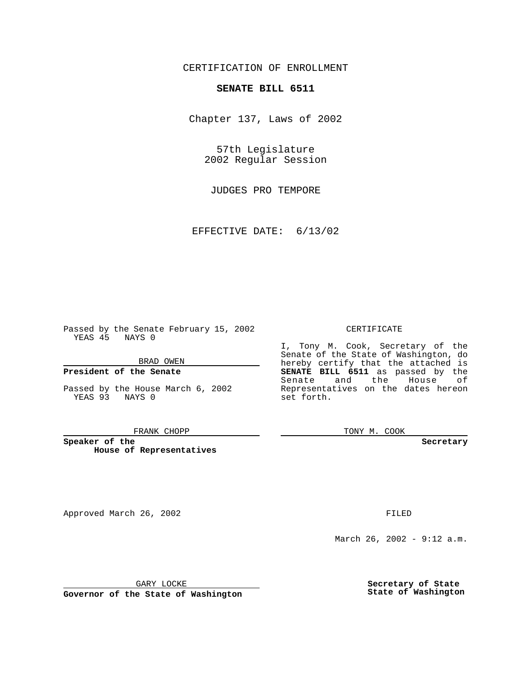# CERTIFICATION OF ENROLLMENT

# **SENATE BILL 6511**

Chapter 137, Laws of 2002

57th Legislature 2002 Regular Session

JUDGES PRO TEMPORE

EFFECTIVE DATE: 6/13/02

Passed by the Senate February 15, 2002 YEAS 45 NAYS 0

### BRAD OWEN

## **President of the Senate**

Passed by the House March 6, 2002 YEAS 93 NAYS 0

#### FRANK CHOPP

**Speaker of the House of Representatives**

Approved March 26, 2002 **FILED** 

### CERTIFICATE

I, Tony M. Cook, Secretary of the Senate of the State of Washington, do hereby certify that the attached is **SENATE BILL 6511** as passed by the Senate and the House of Representatives on the dates hereon set forth.

TONY M. COOK

**Secretary**

March 26, 2002 - 9:12 a.m.

GARY LOCKE

**Governor of the State of Washington**

**Secretary of State State of Washington**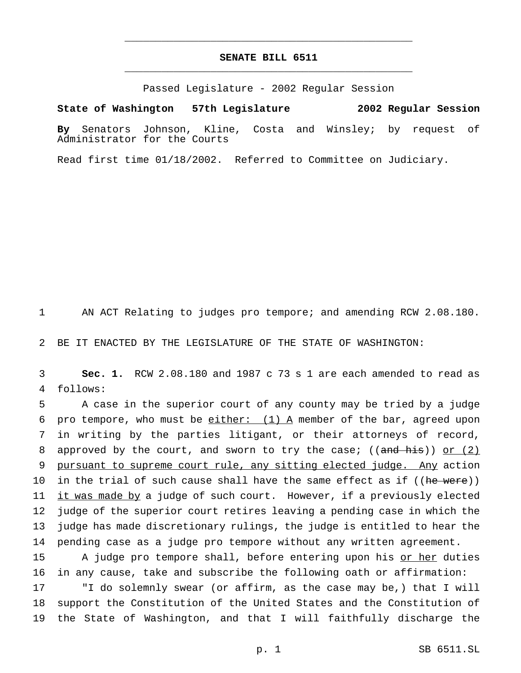# **SENATE BILL 6511** \_\_\_\_\_\_\_\_\_\_\_\_\_\_\_\_\_\_\_\_\_\_\_\_\_\_\_\_\_\_\_\_\_\_\_\_\_\_\_\_\_\_\_\_\_\_\_

\_\_\_\_\_\_\_\_\_\_\_\_\_\_\_\_\_\_\_\_\_\_\_\_\_\_\_\_\_\_\_\_\_\_\_\_\_\_\_\_\_\_\_\_\_\_\_

Passed Legislature - 2002 Regular Session

### **State of Washington 57th Legislature 2002 Regular Session**

**By** Senators Johnson, Kline, Costa and Winsley; by request of Administrator for the Courts

Read first time 01/18/2002. Referred to Committee on Judiciary.

1 AN ACT Relating to judges pro tempore; and amending RCW 2.08.180.

2 BE IT ENACTED BY THE LEGISLATURE OF THE STATE OF WASHINGTON:

3 **Sec. 1.** RCW 2.08.180 and 1987 c 73 s 1 are each amended to read as 4 follows:

5 A case in the superior court of any county may be tried by a judge 6 pro tempore, who must be  $\underline{\text{either:}}$  (1) A member of the bar, agreed upon 7 in writing by the parties litigant, or their attorneys of record, 8 approved by the court, and sworn to try the case; (( $\text{and his}$ )) or (2) 9 pursuant to supreme court rule, any sitting elected judge. Any action 10 in the trial of such cause shall have the same effect as if ((he were)) 11 it was made by a judge of such court. However, if a previously elected 12 judge of the superior court retires leaving a pending case in which the 13 judge has made discretionary rulings, the judge is entitled to hear the 14 pending case as a judge pro tempore without any written agreement.

15 A judge pro tempore shall, before entering upon his or her duties 16 in any cause, take and subscribe the following oath or affirmation:

17 "I do solemnly swear (or affirm, as the case may be,) that I will 18 support the Constitution of the United States and the Constitution of 19 the State of Washington, and that I will faithfully discharge the